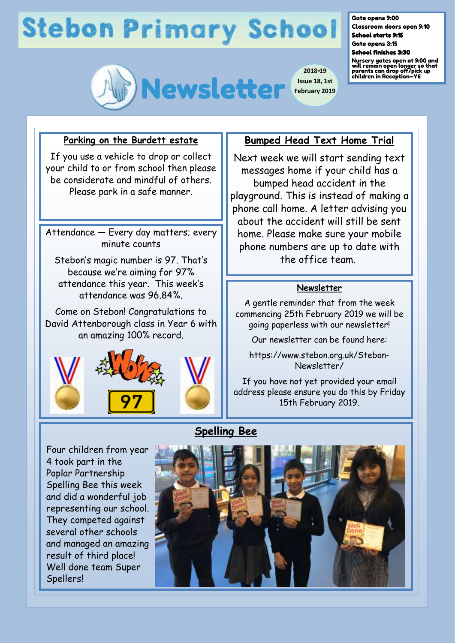# **Stebon Primary School**



Classroom doors open 9:10 School starts 9:15 Gate opens 3:15

#### School finishes 3:30

Gate opens 9:00

Nursery gates open at 9:00 and will remain open longer so that parents can drop off/pick up children in Reception—Y6

### **Parking on the Burdett estate**

If you use a vehicle to drop or collect your child to or from school then please be considerate and mindful of others. Please park in a safe manner.

Attendance — Every day matters; every minute counts

Stebon's magic number is 97. That's because we're aiming for 97% attendance this year. This week's attendance was 96.84%.

Come on Stebon! Congratulations to David Attenborough class in Year 6 with an amazing 100% record.



## Four children from year 4 took part in the Poplar Partnership Spelling Bee this week and did a wonderful job representing our school. They competed against several other schools and managed an amazing result of third place! Well done team Super Spellers!

## **Bumped Head Text Home Trial**

Next week we will start sending text messages home if your child has a bumped head accident in the playground. This is instead of making a phone call home. A letter advising you about the accident will still be sent home. Please make sure your mobile phone numbers are up to date with the office team.

### **Newsletter**

A gentle reminder that from the week commencing 25th February 2019 we will be going paperless with our newsletter!

Our newsletter can be found here:

https://www.stebon.org.uk/Stebon-Newsletter/

If you have not yet provided your email address please ensure you do this by Friday 15th February 2019.

## **Spelling Bee**

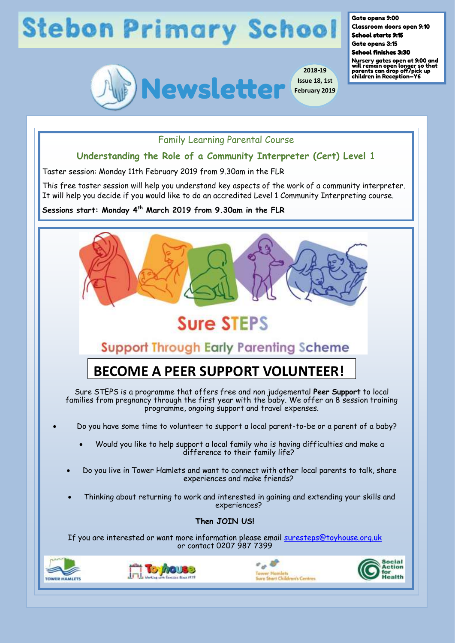# **Stebon Primary School**



**2018-19 Issue 18, 1st February 2019** Gate opens 9:00

Classroom doors open 9:10 School starts 9:15

Gate opens 3:15

School finishes 3:30

Nursery gates open at 9:00 and will remain open longer so that parents can drop off/pick up children in Reception—Y6

## Family Learning Parental Course

## **Understanding the Role of a Community Interpreter (Cert) Level 1**

Taster session: Monday 11th February 2019 from 9.30am in the FLR

This free taster session will help you understand key aspects of the work of a community interpreter. It will help you decide if you would like to do an accredited Level 1 Community Interpreting course.

**Sessions start: Monday 4th March 2019 from 9.30am in the FLR**